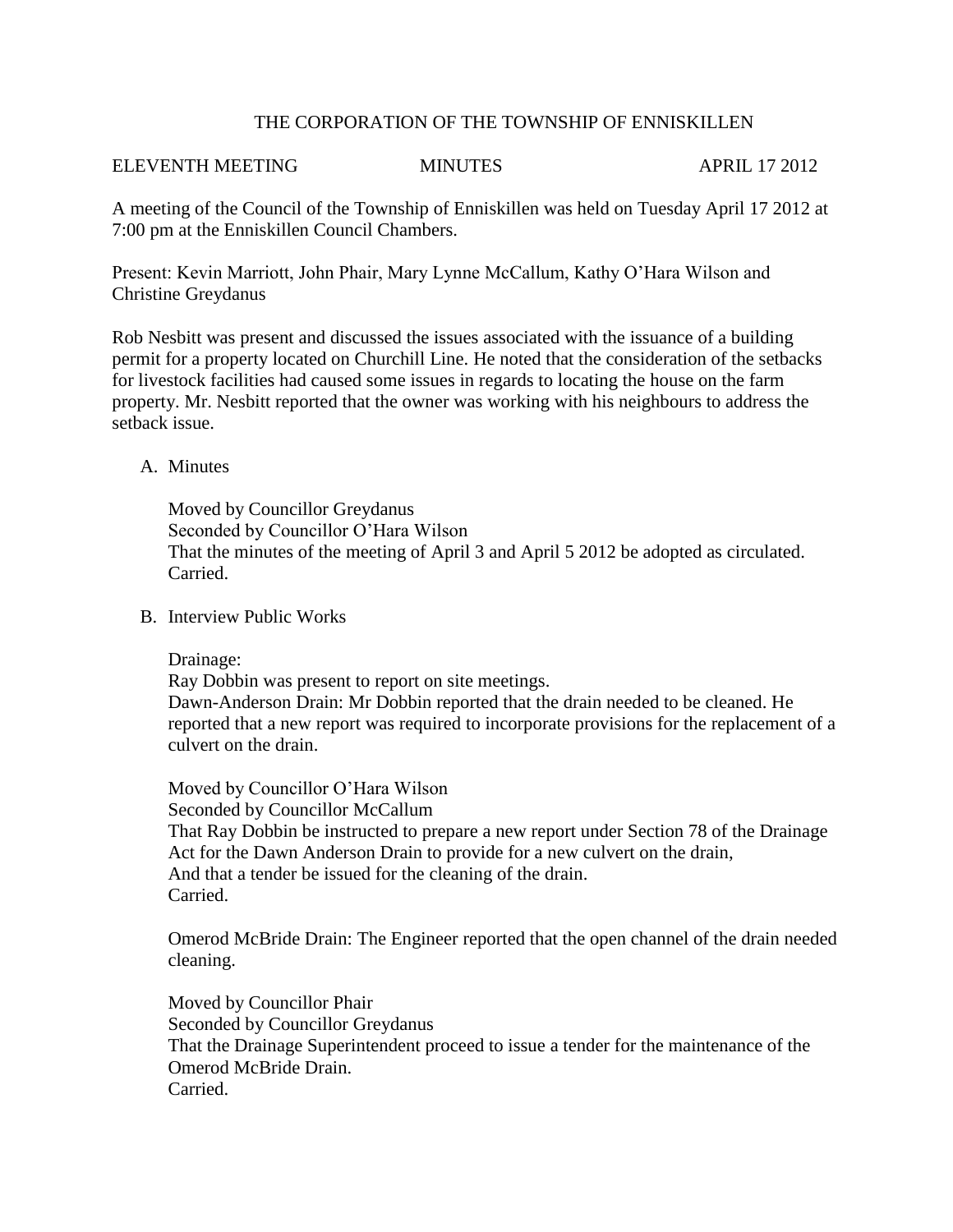## THE CORPORATION OF THE TOWNSHIP OF ENNISKILLEN

#### ELEVENTH MEETING MINUTES APRIL 17 2012

A meeting of the Council of the Township of Enniskillen was held on Tuesday April 17 2012 at 7:00 pm at the Enniskillen Council Chambers.

Present: Kevin Marriott, John Phair, Mary Lynne McCallum, Kathy O'Hara Wilson and Christine Greydanus

Rob Nesbitt was present and discussed the issues associated with the issuance of a building permit for a property located on Churchill Line. He noted that the consideration of the setbacks for livestock facilities had caused some issues in regards to locating the house on the farm property. Mr. Nesbitt reported that the owner was working with his neighbours to address the setback issue.

# A. Minutes

Moved by Councillor Greydanus Seconded by Councillor O'Hara Wilson That the minutes of the meeting of April 3 and April 5 2012 be adopted as circulated. Carried.

## B. Interview Public Works

Drainage:

Ray Dobbin was present to report on site meetings. Dawn-Anderson Drain: Mr Dobbin reported that the drain needed to be cleaned. He reported that a new report was required to incorporate provisions for the replacement of a culvert on the drain.

Moved by Councillor O'Hara Wilson Seconded by Councillor McCallum That Ray Dobbin be instructed to prepare a new report under Section 78 of the Drainage Act for the Dawn Anderson Drain to provide for a new culvert on the drain, And that a tender be issued for the cleaning of the drain. Carried.

Omerod McBride Drain: The Engineer reported that the open channel of the drain needed cleaning.

Moved by Councillor Phair Seconded by Councillor Greydanus That the Drainage Superintendent proceed to issue a tender for the maintenance of the Omerod McBride Drain. Carried.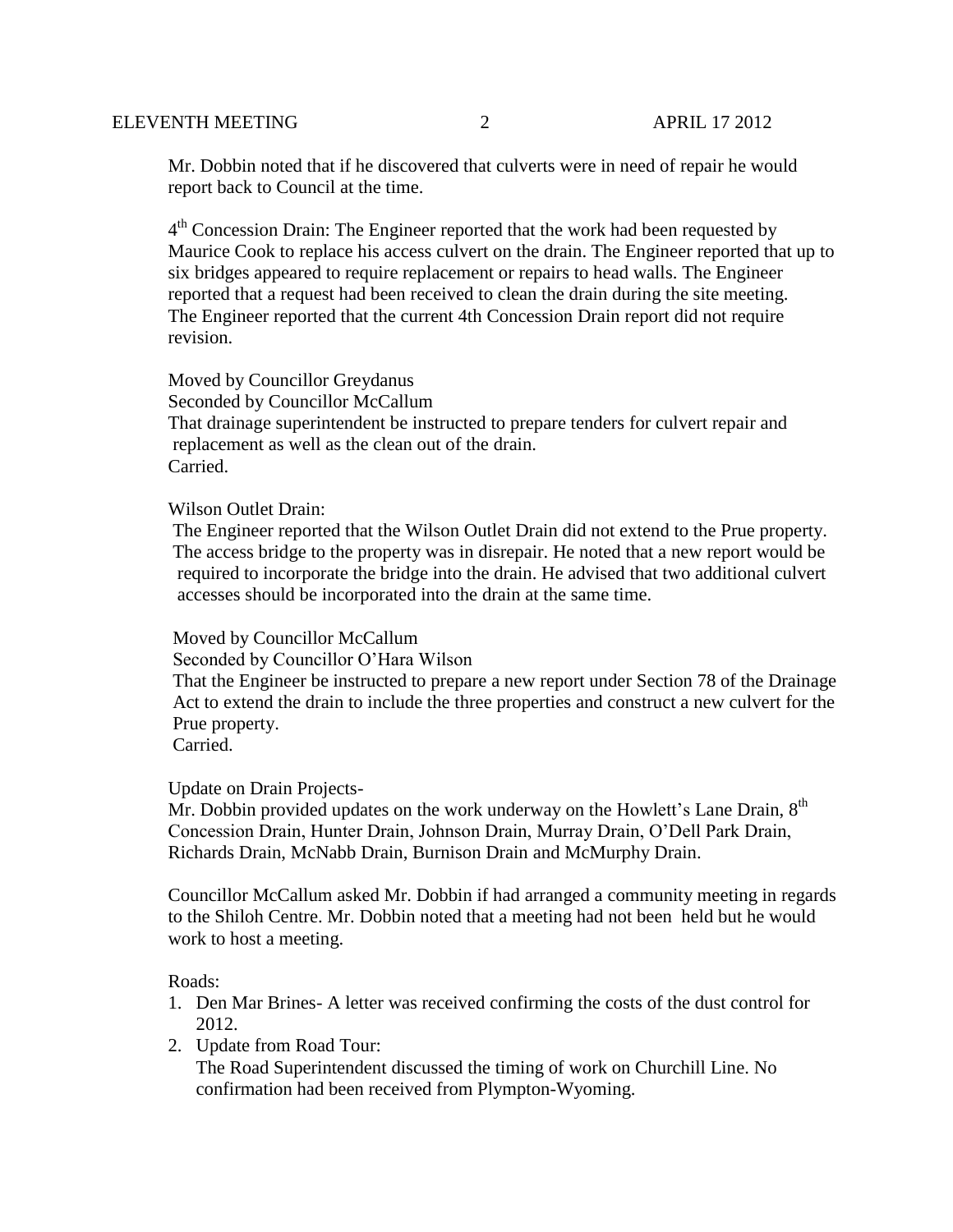Mr. Dobbin noted that if he discovered that culverts were in need of repair he would report back to Council at the time.

4<sup>th</sup> Concession Drain: The Engineer reported that the work had been requested by Maurice Cook to replace his access culvert on the drain. The Engineer reported that up to six bridges appeared to require replacement or repairs to head walls. The Engineer reported that a request had been received to clean the drain during the site meeting. The Engineer reported that the current 4th Concession Drain report did not require revision.

 Moved by Councillor Greydanus Seconded by Councillor McCallum That drainage superintendent be instructed to prepare tenders for culvert repair and replacement as well as the clean out of the drain. Carried.

#### Wilson Outlet Drain:

 The Engineer reported that the Wilson Outlet Drain did not extend to the Prue property. The access bridge to the property was in disrepair. He noted that a new report would be required to incorporate the bridge into the drain. He advised that two additional culvert accesses should be incorporated into the drain at the same time.

## Moved by Councillor McCallum

Seconded by Councillor O'Hara Wilson

 That the Engineer be instructed to prepare a new report under Section 78 of the Drainage Act to extend the drain to include the three properties and construct a new culvert for the Prue property.

Carried.

## Update on Drain Projects-

Mr. Dobbin provided updates on the work underway on the Howlett's Lane Drain,  $8<sup>th</sup>$ Concession Drain, Hunter Drain, Johnson Drain, Murray Drain, O'Dell Park Drain, Richards Drain, McNabb Drain, Burnison Drain and McMurphy Drain.

Councillor McCallum asked Mr. Dobbin if had arranged a community meeting in regards to the Shiloh Centre. Mr. Dobbin noted that a meeting had not been held but he would work to host a meeting.

#### Roads:

- 1. Den Mar Brines- A letter was received confirming the costs of the dust control for 2012.
- 2. Update from Road Tour:

The Road Superintendent discussed the timing of work on Churchill Line. No confirmation had been received from Plympton-Wyoming.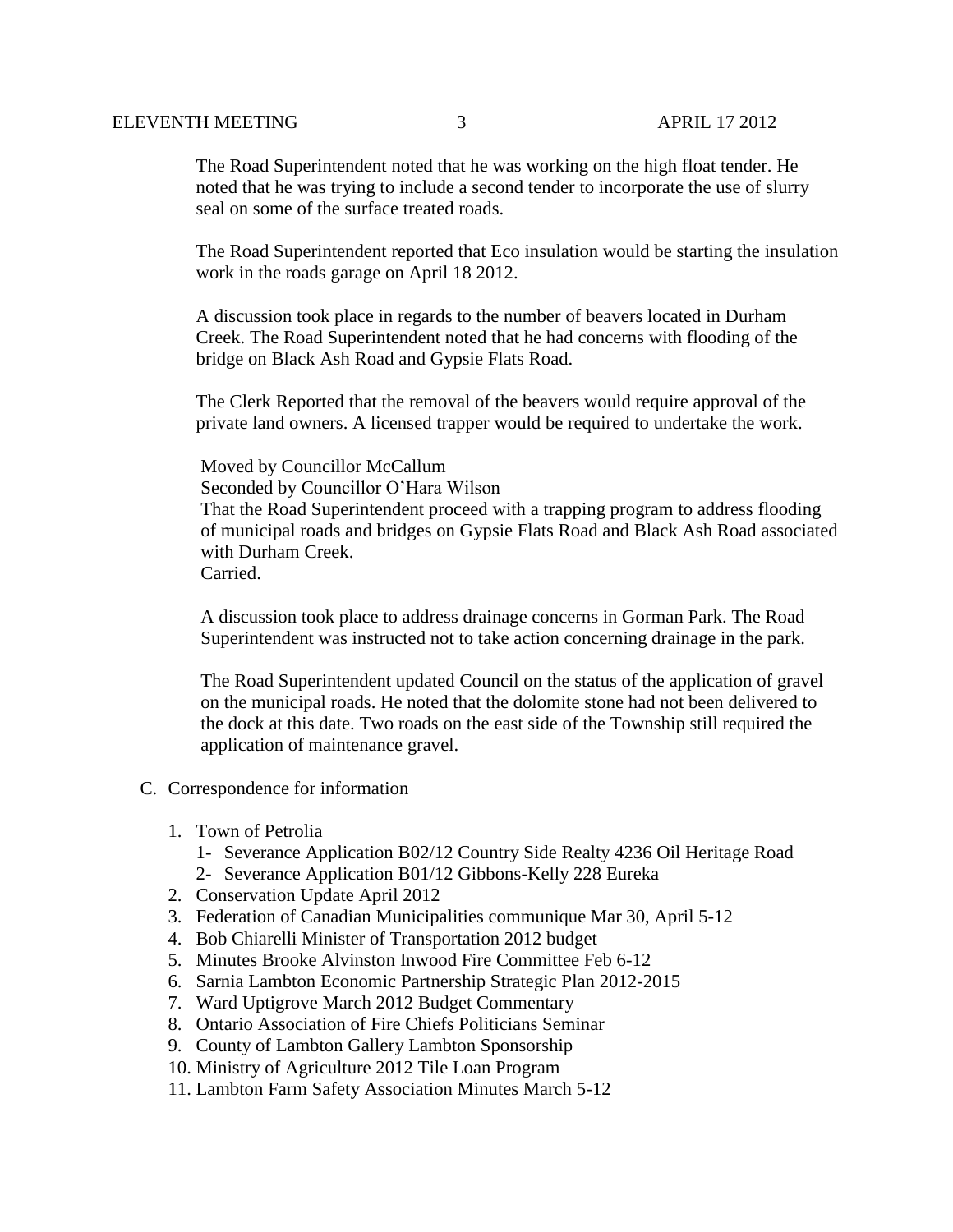## ELEVENTH MEETING 3 APRIL 17 2012

The Road Superintendent noted that he was working on the high float tender. He noted that he was trying to include a second tender to incorporate the use of slurry seal on some of the surface treated roads.

The Road Superintendent reported that Eco insulation would be starting the insulation work in the roads garage on April 18 2012.

A discussion took place in regards to the number of beavers located in Durham Creek. The Road Superintendent noted that he had concerns with flooding of the bridge on Black Ash Road and Gypsie Flats Road.

 The Clerk Reported that the removal of the beavers would require approval of the private land owners. A licensed trapper would be required to undertake the work.

 Moved by Councillor McCallum Seconded by Councillor O'Hara Wilson That the Road Superintendent proceed with a trapping program to address flooding of municipal roads and bridges on Gypsie Flats Road and Black Ash Road associated with Durham Creek. Carried.

 A discussion took place to address drainage concerns in Gorman Park. The Road Superintendent was instructed not to take action concerning drainage in the park.

 The Road Superintendent updated Council on the status of the application of gravel on the municipal roads. He noted that the dolomite stone had not been delivered to the dock at this date. Two roads on the east side of the Township still required the application of maintenance gravel.

- C. Correspondence for information
	- 1. Town of Petrolia
		- 1- Severance Application B02/12 Country Side Realty 4236 Oil Heritage Road
		- 2- Severance Application B01/12 Gibbons-Kelly 228 Eureka
	- 2. Conservation Update April 2012
	- 3. Federation of Canadian Municipalities communique Mar 30, April 5-12
	- 4. Bob Chiarelli Minister of Transportation 2012 budget
	- 5. Minutes Brooke Alvinston Inwood Fire Committee Feb 6-12
	- 6. Sarnia Lambton Economic Partnership Strategic Plan 2012-2015
	- 7. Ward Uptigrove March 2012 Budget Commentary
	- 8. Ontario Association of Fire Chiefs Politicians Seminar
	- 9. County of Lambton Gallery Lambton Sponsorship
	- 10. Ministry of Agriculture 2012 Tile Loan Program
	- 11. Lambton Farm Safety Association Minutes March 5-12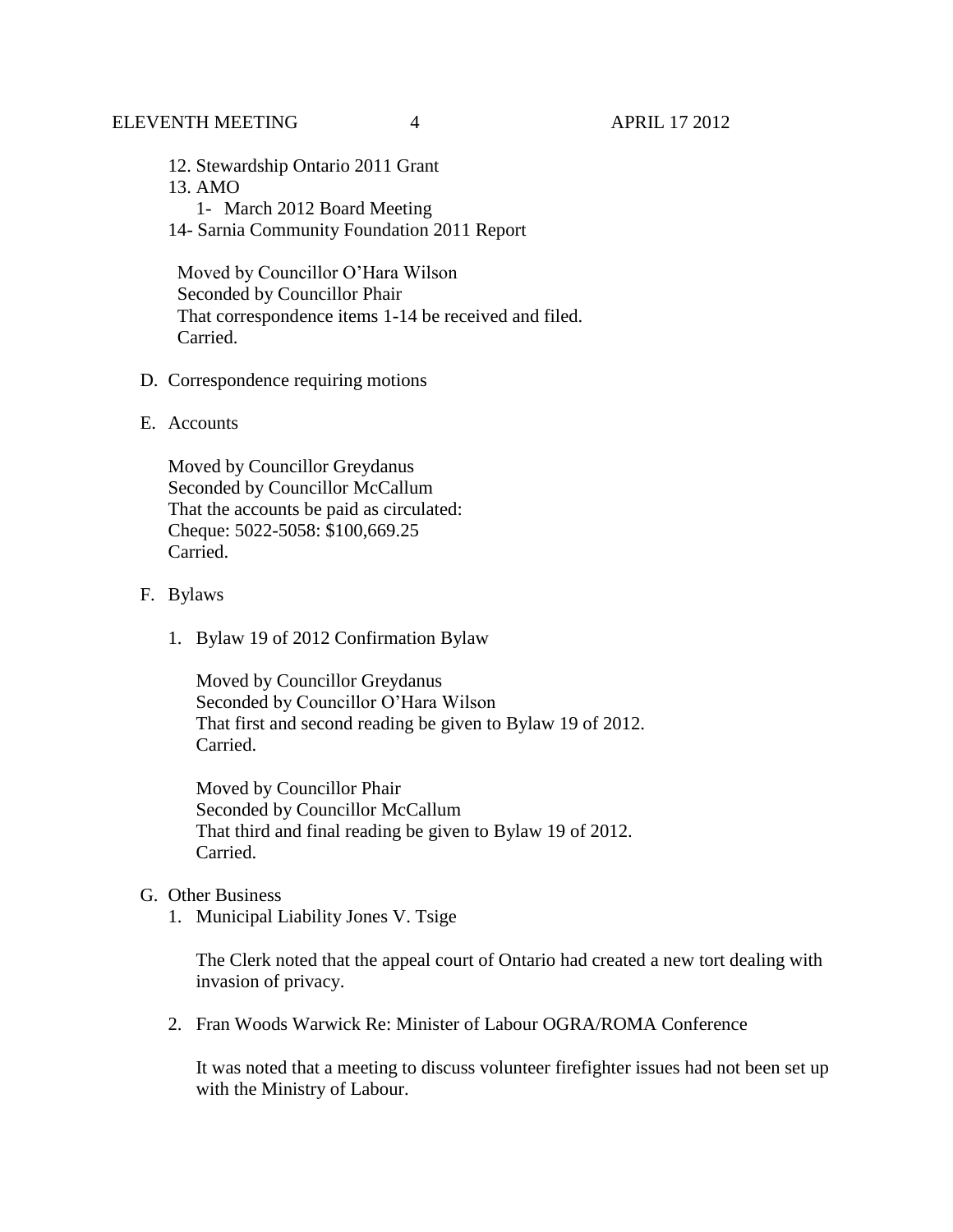# ELEVENTH MEETING 4 4 APRIL 17 2012

- 12. Stewardship Ontario 2011 Grant 13. AMO
	- 1- March 2012 Board Meeting
- 14- Sarnia Community Foundation 2011 Report

 Moved by Councillor O'Hara Wilson Seconded by Councillor Phair That correspondence items 1-14 be received and filed. Carried.

- D. Correspondence requiring motions
- E. Accounts

Moved by Councillor Greydanus Seconded by Councillor McCallum That the accounts be paid as circulated: Cheque: 5022-5058: \$100,669.25 Carried.

- F. Bylaws
	- 1. Bylaw 19 of 2012 Confirmation Bylaw

Moved by Councillor Greydanus Seconded by Councillor O'Hara Wilson That first and second reading be given to Bylaw 19 of 2012. Carried.

Moved by Councillor Phair Seconded by Councillor McCallum That third and final reading be given to Bylaw 19 of 2012. Carried.

- G. Other Business
	- 1. Municipal Liability Jones V. Tsige

The Clerk noted that the appeal court of Ontario had created a new tort dealing with invasion of privacy.

2. Fran Woods Warwick Re: Minister of Labour OGRA/ROMA Conference

It was noted that a meeting to discuss volunteer firefighter issues had not been set up with the Ministry of Labour.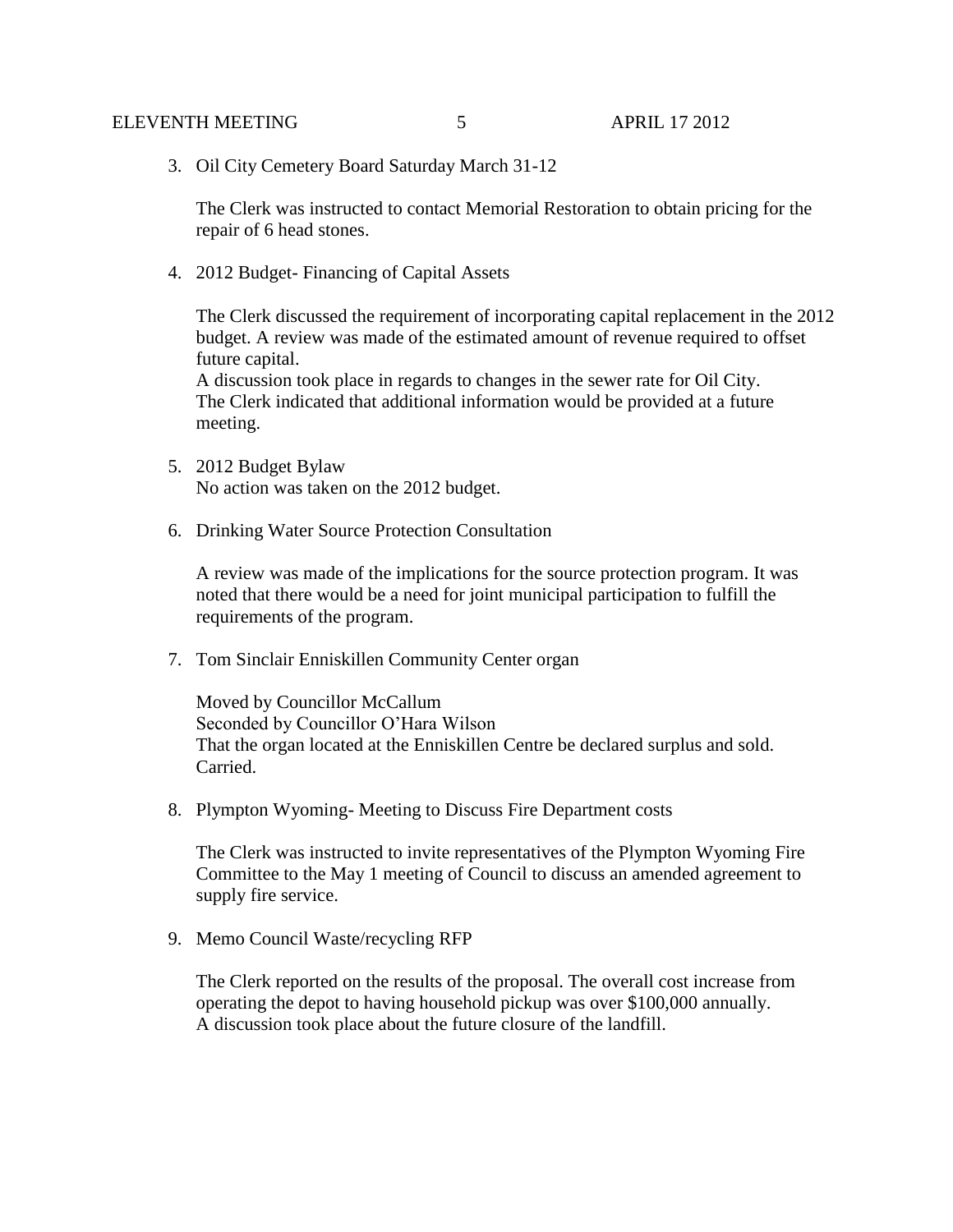3. Oil City Cemetery Board Saturday March 31-12

The Clerk was instructed to contact Memorial Restoration to obtain pricing for the repair of 6 head stones.

4. 2012 Budget- Financing of Capital Assets

The Clerk discussed the requirement of incorporating capital replacement in the 2012 budget. A review was made of the estimated amount of revenue required to offset future capital.

A discussion took place in regards to changes in the sewer rate for Oil City. The Clerk indicated that additional information would be provided at a future meeting.

- 5. 2012 Budget Bylaw No action was taken on the 2012 budget.
- 6. Drinking Water Source Protection Consultation

A review was made of the implications for the source protection program. It was noted that there would be a need for joint municipal participation to fulfill the requirements of the program.

7. Tom Sinclair Enniskillen Community Center organ

Moved by Councillor McCallum Seconded by Councillor O'Hara Wilson That the organ located at the Enniskillen Centre be declared surplus and sold. Carried.

8. Plympton Wyoming- Meeting to Discuss Fire Department costs

The Clerk was instructed to invite representatives of the Plympton Wyoming Fire Committee to the May 1 meeting of Council to discuss an amended agreement to supply fire service.

9. Memo Council Waste/recycling RFP

The Clerk reported on the results of the proposal. The overall cost increase from operating the depot to having household pickup was over \$100,000 annually. A discussion took place about the future closure of the landfill.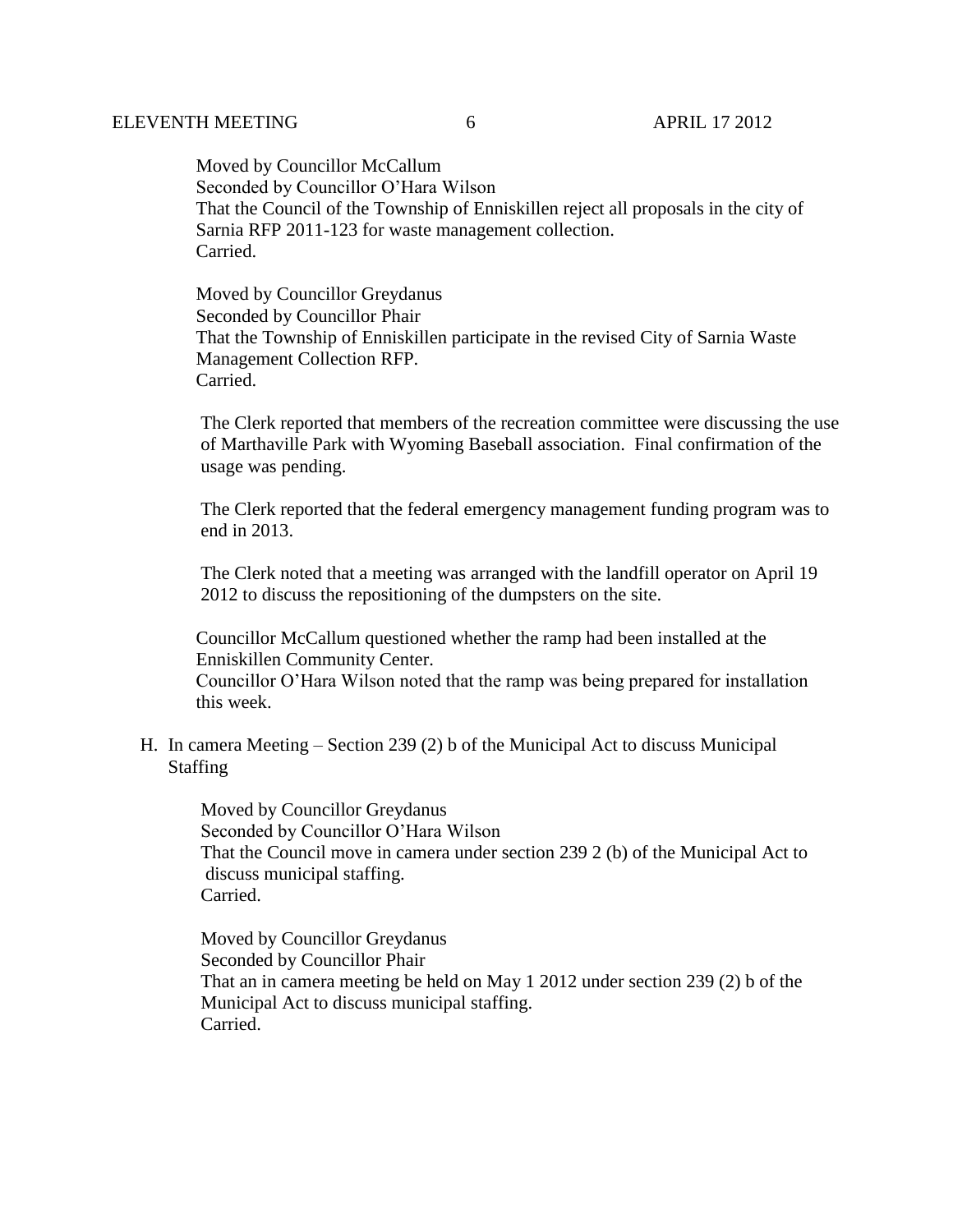Moved by Councillor McCallum Seconded by Councillor O'Hara Wilson That the Council of the Township of Enniskillen reject all proposals in the city of Sarnia RFP 2011-123 for waste management collection. Carried.

Moved by Councillor Greydanus Seconded by Councillor Phair That the Township of Enniskillen participate in the revised City of Sarnia Waste Management Collection RFP. Carried.

 The Clerk reported that members of the recreation committee were discussing the use of Marthaville Park with Wyoming Baseball association. Final confirmation of the usage was pending.

 The Clerk reported that the federal emergency management funding program was to end in 2013.

 The Clerk noted that a meeting was arranged with the landfill operator on April 19 2012 to discuss the repositioning of the dumpsters on the site.

 Councillor McCallum questioned whether the ramp had been installed at the Enniskillen Community Center.

 Councillor O'Hara Wilson noted that the ramp was being prepared for installation this week.

H. In camera Meeting – Section 239 (2) b of the Municipal Act to discuss Municipal Staffing

 Moved by Councillor Greydanus Seconded by Councillor O'Hara Wilson That the Council move in camera under section 239 2 (b) of the Municipal Act to discuss municipal staffing. Carried.

 Moved by Councillor Greydanus Seconded by Councillor Phair That an in camera meeting be held on May 1 2012 under section 239 (2) b of the Municipal Act to discuss municipal staffing. Carried.